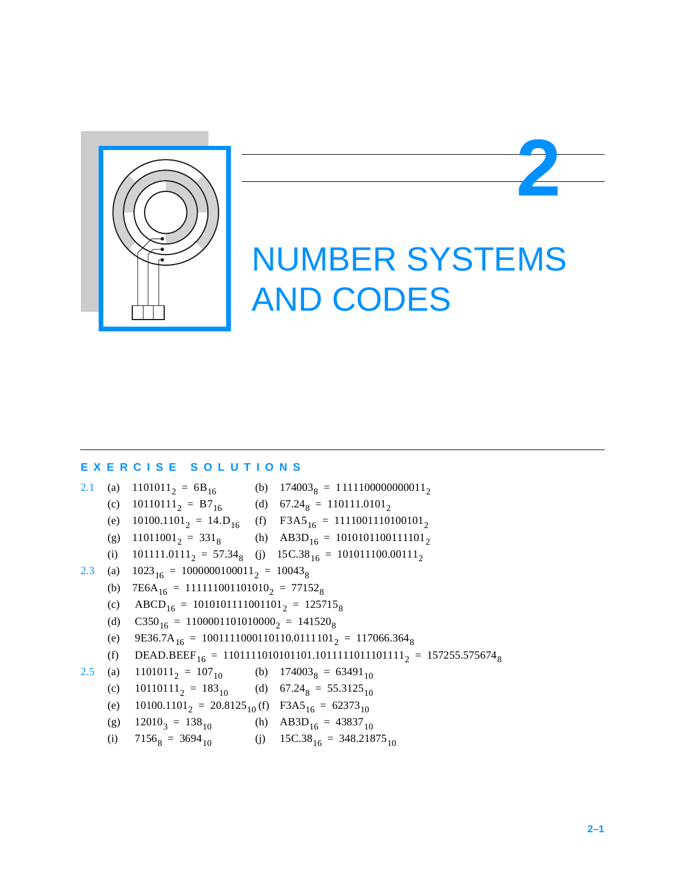

## NUMBER SYSTEMS AND CODES

**2**

## **EXERCISE SOLUTIONS**

2.1 (a)  $1101011_2 = 6B_{16}$  (b)  $174003_8 = 1111100000000011_2$ (c)  $10110111_2 = B7_{16}$ (e)  $10100.1101_2 = 14. D_{16}$  (f)  $F3A5_{16} = 1111001110100101_2$ (g)  $11011001_2 = 331_8$ (i)  $101111.0111_2 = 57.34_8$  (j)  $15C.38_{16} = 101011100.00111_2$ 2.3 (a)  $1023_{16} = 1000000100011_2 = 10043_8$ (b)  $7E6A_{16} = 111111001101010_2 = 77152_8$ (c)  $ABCD_{16} = 1010101111001101_2 = 125715_8$ (d)  $C350_{16} = 1100001101010000_2 = 141520_8$ (e)  $9E36.7A_{16} = 1001111000110110.0111101_2 = 117066.364_8$ (f) DEAD.BEEF<sub>16</sub> = 1101111010101101.10111110111101111<sub>2</sub> = 157255.575674<sub>8</sub> 2.5 (a)  $1101011_2 = 107_{10}$  (b)  $174003_8 = 63491_{10}$ (c)  $10110111_2 = 183_{10}$  (d)  $67.24_8 = 55.3125_{10}$ (e)  $10100.1101_2 = 20.8125_{10}$  (f)  $F3A5_{16} = 62373_{10}$ (g)  $12010_3 = 138_{10}$ (d)  $67.24<sub>8</sub> = 110111.0101<sub>2</sub>$ (h)  $AB3D_{16} = 1010101100111101_2$ (h)  $AB3D_{16} = 43837_{10}$ 

(i)  $7156_8 = 3694_{10}$  (j)  $15C.38_{16} = 348.21875_{10}$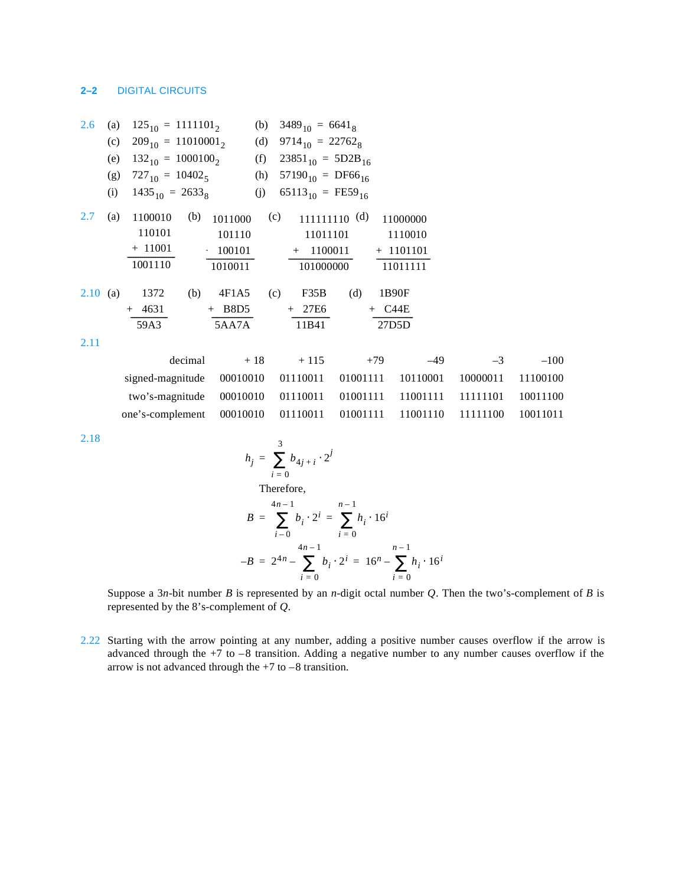## **2–2** DIGITAL CIRCUITS

| 2.6        | (a) | $125_{10} = 1111101_{2}$                      | (b)      | $3489_{10} = 6641_{8}$            |                 |             |          |          |
|------------|-----|-----------------------------------------------|----------|-----------------------------------|-----------------|-------------|----------|----------|
|            | (c) | $209_{10} = 11010001_2$                       | (d)      | $9714_{10} = 22762_8$             |                 |             |          |          |
|            | (e) | $132_{10} = 1000100_2$                        | (f)      | $23851_{10} = 5D2B_{16}$          |                 |             |          |          |
|            | (g) | $727_{10} = 10402_5$                          | (h)      | $57190_{10} = DF66_{16}$          |                 |             |          |          |
|            | (i) | $1435_{10} = 2633_8$                          | (j)      | $65113_{10}$ = FE59 <sub>16</sub> |                 |             |          |          |
| 2.7        | (a) | (b)<br>1100010                                | 1011000  | (c)                               | $111111110$ (d) | 11000000    |          |          |
|            |     | 110101                                        | 101110   | 11011101                          |                 | 1110010     |          |          |
|            |     | $+ 11001$<br>$-100101$                        |          | $+ 1100011$                       |                 | $+ 1101101$ |          |          |
|            |     | 1001110                                       | 1010011  | 101000000                         |                 | 11011111    |          |          |
| $2.10$ (a) |     | 1372<br>(b)                                   | 4F1A5    | F35B<br>(c)                       | (d)             | 1B90F       |          |          |
|            |     | $+$ B <sub>8</sub> D <sub>5</sub><br>$+ 4631$ |          | $+ 27E6$                          | $+$ C44E        |             |          |          |
|            |     | 59A3                                          | 5AA7A    | 11B41                             |                 | 27D5D       |          |          |
| 2.11       |     |                                               |          |                                   |                 |             |          |          |
|            |     | decimal                                       | $+18$    | $+115$                            | $+79$           | $-49$       | $-3$     | $-100$   |
|            |     | signed-magnitude                              | 00010010 | 01110011                          | 01001111        | 10110001    | 10000011 | 11100100 |
|            |     | two's-magnitude                               | 00010010 | 01110011                          | 01001111        | 11001111    | 11111101 | 10011100 |
|            |     | one's-complement                              | 00010010 | 01110011                          | 01001111        | 11001110    | 11111100 | 10011011 |

2.18

$$
h_j = \sum_{i=0}^{3} b_{4j+i} \cdot 2^{j}
$$
  
Therefore,  

$$
B = \sum_{i=0}^{4n-1} b_i \cdot 2^{i} = \sum_{i=0}^{n-1} h_i \cdot 16^{i}
$$

$$
-B = 2^{4n} - \sum_{i=0}^{4n-1} b_i \cdot 2^{i} = 16^{n} - \sum_{i=0}^{n-1} h_i \cdot 16^{i}
$$

Suppose a 3*n*-bit number *B* is represented by an *n*-digit octal number *Q*. Then the two's-complement of *B* is represented by the 8's-complement of *Q*.

2.22 Starting with the arrow pointing at any number, adding a positive number causes overflow if the arrow is advanced through the  $+7$  to  $-8$  transition. Adding a negative number to any number causes overflow if the arrow is not advanced through the  $+7$  to  $-8$  transition.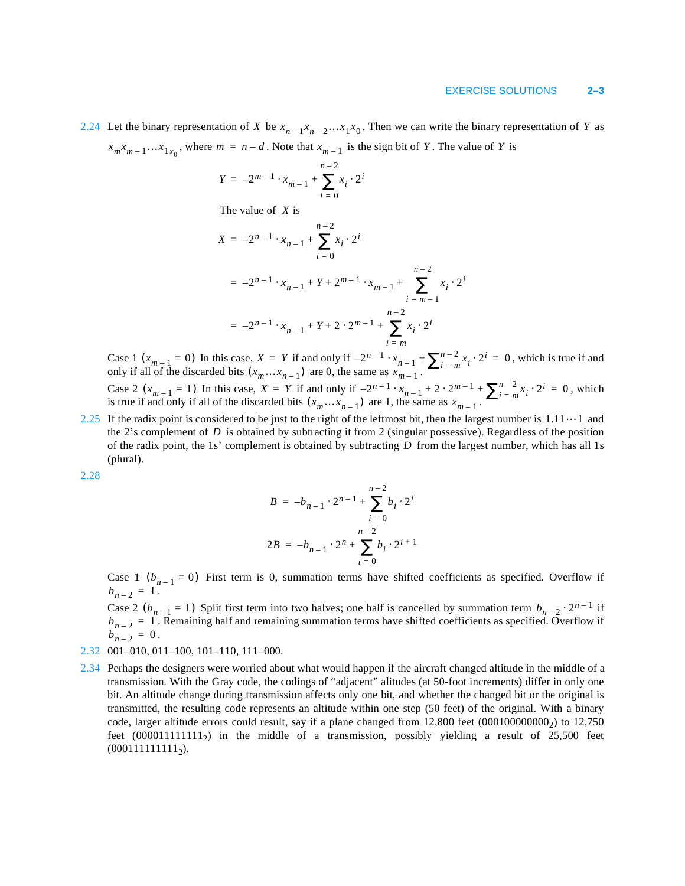2.24 Let the binary representation of X be  $x_{n-1}x_{n-2}...x_1x_0$ . Then we can write the binary representation of Y as  $x_m x_{m-1} \dots x_{1x_0}$ , where  $m = n-d$ . Note that  $x_{m-1}$  is the sign bit of Y. The value of Y is

$$
Y = -2^{m-1} \cdot x_{m-1} + \sum_{i=0}^{n-2} x_i \cdot 2^i
$$

The value of *X* is

$$
X = -2^{n-1} \cdot x_{n-1} + \sum_{i=0}^{n-2} x_i \cdot 2^i
$$
  
= -2^{n-1} \cdot x\_{n-1} + Y + 2^{m-1} \cdot x\_{m-1} + \sum\_{i=m-1}^{n-2} x\_i \cdot 2^i  
= -2^{n-1} \cdot x\_{n-1} + Y + 2 \cdot 2^{m-1} + \sum\_{i=m}^{n-2} x\_i \cdot 2^i

Case 1  $(x_{m-1} = 0)$  In this case,  $X = Y$  if and only if  $-2^{n-1} \cdot x_{n-1} + \sum_{i=m}^{n-2} x_i \cdot 2^i = 0$ , which is true if and only if all of the discarded bits  $(x_m...x_{n-1})$  are 0, the same as  $x_{m-1}$ .

Case 2  $(x_{m-1} = 1)$  In this case,  $X = Y$  if and only if  $-2^{n-1} \cdot x_{n-1} + 2 \cdot 2^{m-1} + \sum_{i=1}^{n-2} x_i \cdot 2^i = 0$ , which Case 2  $(x_{m-1} = 1)$  In this case,  $X = Y$  if and only if  $-2^{n-1} \cdot x_{n-1} + 2 \cdot 2^{m-1} + \sum_{i=m}^{n-2} x_i \cdot 2^i = 0$  is true if and only if all of the discarded bits  $(x_m \dots x_{n-1})$  are 1, the same as  $x_{m-1}$ .  $(x_m...x_{n-1})$  are 1, the same as  $x_{m-1}$ 

2.25 If the radix point is considered to be just to the right of the leftmost bit, then the largest number is  $1.11 \cdots 1$  and the 2's complement of  $D$  is obtained by subtracting it from 2 (singular possessive). Regardless of the position of the radix point, the 1s' complement is obtained by subtracting D from the largest number, which has all 1s (plural).

2.28

$$
B = -b_{n-1} \cdot 2^{n-1} + \sum_{i=0}^{n-2} b_i \cdot 2^i
$$
  

$$
2B = -b_{n-1} \cdot 2^n + \sum_{i=0}^{n-2} b_i \cdot 2^{i+1}
$$

Case 1 ( $b_{n-1} = 0$ ) First term is 0, summation terms have shifted coefficients as specified. Overflow if  $b_{n-2} = 1$ .

Case 2 ( $b_{n-1} = 1$ ) Split first term into two halves; one half is cancelled by summation term  $b_{n-2} \cdot 2^{n-1}$  if  $b_{n-2} = 1$ . Remaining half and remaining summation terms have shifted coefficients as specified. Overflow if  $b_{n-2} = 0$ .

- 2.32 001–010, 011–100, 101–110, 111–000.
- 2.34 Perhaps the designers were worried about what would happen if the aircraft changed altitude in the middle of a transmission. With the Gray code, the codings of "adjacent" alitudes (at 50-foot increments) differ in only one bit. An altitude change during transmission affects only one bit, and whether the changed bit or the original is transmitted, the resulting code represents an altitude within one step (50 feet) of the original. With a binary code, larger altitude errors could result, say if a plane changed from  $12,800$  feet  $(000100000000)$  to  $12,750$ feet  $(000011111111_2)$  in the middle of a transmission, possibly yielding a result of 25,500 feet  $(000111111111<sub>2</sub>).$